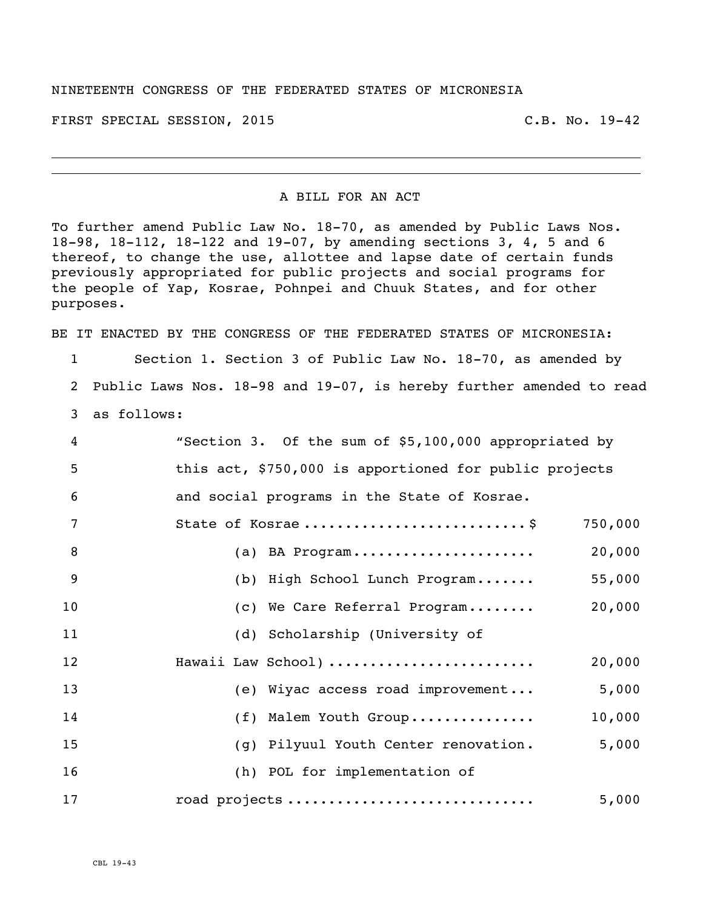## NINETEENTH CONGRESS OF THE FEDERATED STATES OF MICRONESIA

FIRST SPECIAL SESSION, 2015 C.B. No. 19-42

## A BILL FOR AN ACT

To further amend Public Law No. 18-70, as amended by Public Laws Nos. 18-98, 18-112, 18-122 and 19-07, by amending sections 3, 4, 5 and 6 thereof, to change the use, allottee and lapse date of certain funds previously appropriated for public projects and social programs for the people of Yap, Kosrae, Pohnpei and Chuuk States, and for other purposes.

BE IT ENACTED BY THE CONGRESS OF THE FEDERATED STATES OF MICRONESIA:

 Section 1. Section 3 of Public Law No. 18-70, as amended by Public Laws Nos. 18-98 and 19-07, is hereby further amended to read as follows:

| 4               | "Section 3. Of the sum of \$5,100,000 appropriated by  |
|-----------------|--------------------------------------------------------|
| 5               | this act, \$750,000 is apportioned for public projects |
| $6\phantom{1}6$ | and social programs in the State of Kosrae.            |
| 7               | State of Kosrae \$<br>750,000                          |
| 8               | 20,000<br>(a) BA Program                               |
| 9               | 55,000<br>(b) High School Lunch Program                |
| 10              | 20,000<br>(c) We Care Referral Program                 |
| 11              | (d) Scholarship (University of                         |
| 12              | Hawaii Law School)<br>20,000                           |
| 13              | 5,000<br>(e) Wiyac access road improvement             |
| 14              | (f) Malem Youth Group<br>10,000                        |
| 15              | 5,000<br>(g) Pilyuul Youth Center renovation.          |
| 16              | (h) POL for implementation of                          |
| 17              | 5,000<br>road projects                                 |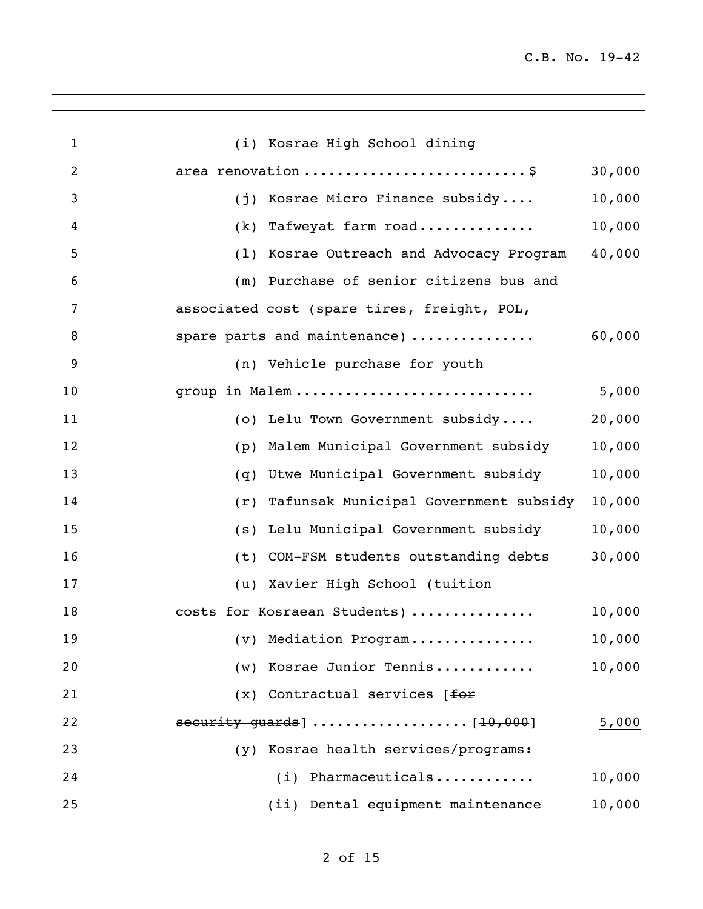| $\mathbf{1}$   | (i) Kosrae High School dining               |        |
|----------------|---------------------------------------------|--------|
| $\overline{2}$ | area renovation \$                          | 30,000 |
| 3              | (j) Kosrae Micro Finance subsidy            | 10,000 |
| 4              | (k) Tafweyat farm road                      | 10,000 |
| 5              | (1) Kosrae Outreach and Advocacy Program    | 40,000 |
| 6              | (m) Purchase of senior citizens bus and     |        |
| 7              | associated cost (spare tires, freight, POL, |        |
| 8              | spare parts and maintenance)                | 60,000 |
| 9              | (n) Vehicle purchase for youth              |        |
| 10             | group in Malem                              | 5,000  |
| 11             | (o) Lelu Town Government subsidy            | 20,000 |
| 12             | (p) Malem Municipal Government subsidy      | 10,000 |
| 13             | (q) Utwe Municipal Government subsidy       | 10,000 |
| 14             | (r) Tafunsak Municipal Government subsidy   | 10,000 |
| 15             | (s) Lelu Municipal Government subsidy       | 10,000 |
| 16             | (t) COM-FSM students outstanding debts      | 30,000 |
| 17             | (u) Xavier High School (tuition             |        |
| 18             | costs for Kosraean Students)                | 10,000 |
| 19             | (v) Mediation Program                       | 10,000 |
| 20             | (w) Kosrae Junior Tennis                    | 10,000 |
| 21             | $(x)$ Contractual services [for             |        |
| 22             | security guards] $\ldots$ [10,000]          | 5,000  |
| 23             | (y) Kosrae health services/programs:        |        |
| 24             | (i) Pharmaceuticals                         | 10,000 |
| 25             | (ii) Dental equipment maintenance           | 10,000 |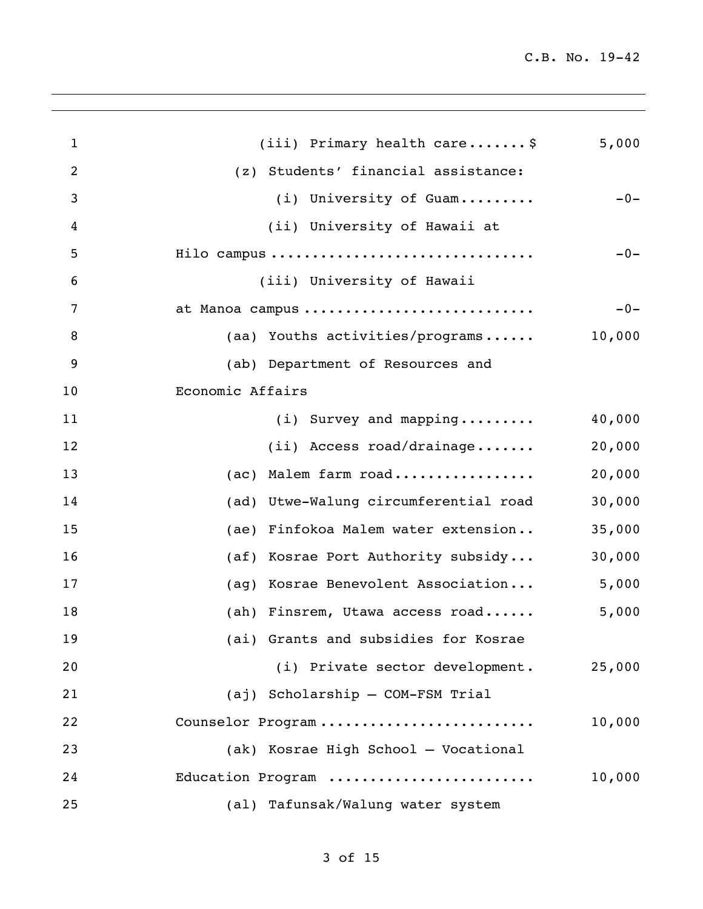| $\mathbf{1}$   | (iii) Primary health care\$           | 5,000  |
|----------------|---------------------------------------|--------|
| $\overline{2}$ | (z) Students' financial assistance:   |        |
| 3              | (i) University of Guam                | $-0-$  |
| 4              | (ii) University of Hawaii at          |        |
| 5              | Hilo campus                           | $-0-$  |
| 6              | (iii) University of Hawaii            |        |
| 7              | at Manoa campus                       | $-0-$  |
| 8              | (aa) Youths activities/programs       | 10,000 |
| 9              | (ab) Department of Resources and      |        |
| 10             | Economic Affairs                      |        |
| 11             | $(i)$ Survey and mapping              | 40,000 |
| 12             | $(i)$ Access road/drainage            | 20,000 |
| 13             | (ac) Malem farm road                  | 20,000 |
| 14             | (ad) Utwe-Walung circumferential road | 30,000 |
| 15             | (ae) Finfokoa Malem water extension   | 35,000 |
| 16             | (af) Kosrae Port Authority subsidy    | 30,000 |
| 17             | (ag) Kosrae Benevolent Association    | 5,000  |
| 18             | (ah) Finsrem, Utawa access road       | 5,000  |
| 19             | (ai) Grants and subsidies for Kosrae  |        |
| 20             | (i) Private sector development.       | 25,000 |
| 21             | (aj) Scholarship - COM-FSM Trial      |        |
| 22             | Counselor Program                     | 10,000 |
| 23             | (ak) Kosrae High School - Vocational  |        |
| 24             | Education Program                     | 10,000 |
| 25             | (al) Tafunsak/Walung water system     |        |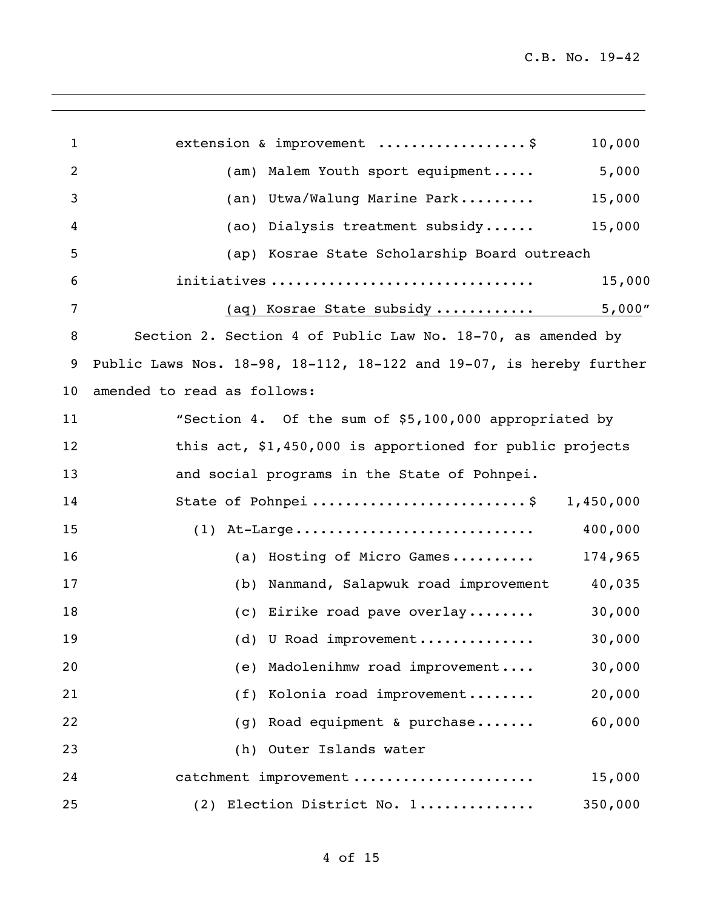| $\mathbf{1}$ | extension & improvement \$                                          | 10,000    |
|--------------|---------------------------------------------------------------------|-----------|
| 2            | (am) Malem Youth sport equipment                                    | 5,000     |
| 3            | (an) Utwa/Walung Marine Park                                        | 15,000    |
| 4            | (ao) Dialysis treatment subsidy                                     | 15,000    |
| 5            | (ap) Kosrae State Scholarship Board outreach                        |           |
| 6            | initiatives                                                         | 15,000    |
| 7            | (aq) Kosrae State subsidy                                           | 5,000"    |
| 8            | Section 2. Section 4 of Public Law No. 18-70, as amended by         |           |
| 9            | Public Laws Nos. 18-98, 18-112, 18-122 and 19-07, is hereby further |           |
| 10           | amended to read as follows:                                         |           |
| 11           | "Section 4. Of the sum of \$5,100,000 appropriated by               |           |
| 12           | this act, \$1,450,000 is apportioned for public projects            |           |
| 13           | and social programs in the State of Pohnpei.                        |           |
| 14           | State of Pohnpei\$                                                  | 1,450,000 |
| 15           | $(1)$ At-Large                                                      | 400,000   |
| 16           | (a) Hosting of Micro Games                                          | 174,965   |
| 17           | (b) Nanmand, Salapwuk road improvement                              | 40,035    |
| 18           | (c) Eirike road pave overlay                                        | 30,000    |
| 19           | (d) U Road improvement                                              | 30,000    |
| 20           | (e) Madolenihmw road improvement                                    | 30,000    |
| 21           | (f) Kolonia road improvement                                        | 20,000    |
| 22           | (g) Road equipment & purchase                                       | 60,000    |
| 23           | (h) Outer Islands water                                             |           |
| 24           | catchment improvement                                               | 15,000    |
| 25           | (2) Election District No. 1                                         | 350,000   |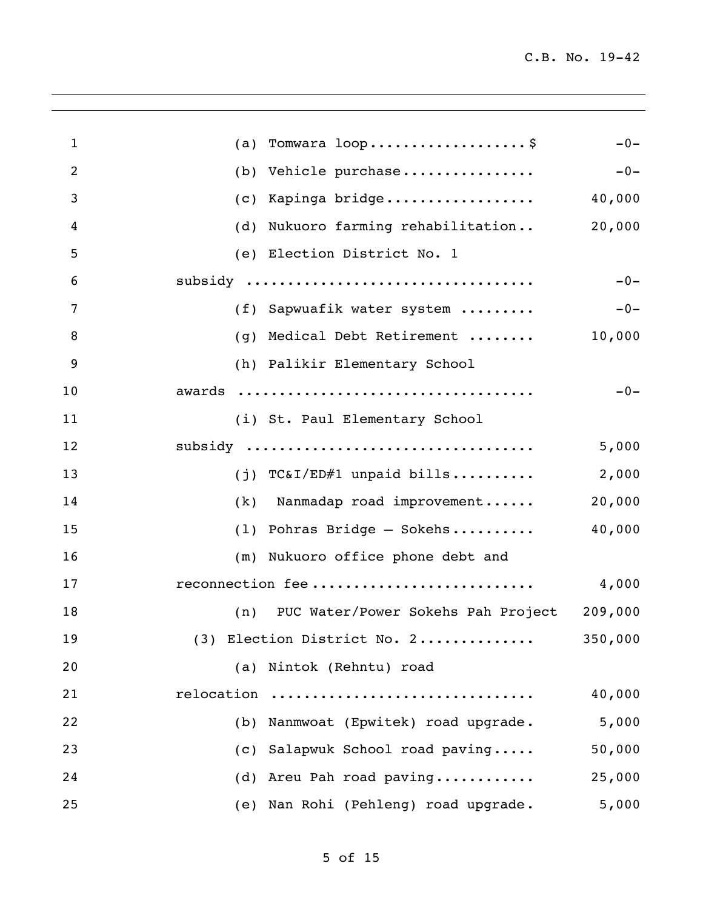| $\mathbf{1}$ | (a) Tomwara $loop$ \$                          | $-0-$   |
|--------------|------------------------------------------------|---------|
| 2            | (b) Vehicle purchase                           | $-0-$   |
| 3            | Kapinga bridge<br>(C)                          | 40,000  |
| 4            | (d) Nukuoro farming rehabilitation             | 20,000  |
| 5            | (e) Election District No. 1                    |         |
| 6            | subsidy                                        | $-0-$   |
| 7            | (f) Sapwuafik water system                     | $-0-$   |
| 8            | (g) Medical Debt Retirement                    | 10,000  |
| 9            | (h) Palikir Elementary School                  |         |
| 10           |                                                | $-0-$   |
| 11           | (i) St. Paul Elementary School                 |         |
| 12           | subsidy                                        | 5,000   |
| 13           | (j) $TC&I/ED#1$ unpaid bills                   | 2,000   |
| 14           | (k) Nanmadap road improvement                  | 20,000  |
| 15           | $(1)$ Pohras Bridge - Sokehs                   | 40,000  |
| 16           | (m) Nukuoro office phone debt and              |         |
| 17           | reconnection fee                               | 4,000   |
| 18           | (n) PUC Water/Power Sokehs Pah Project 209,000 |         |
| 19           | $(3)$ Election District No. 2                  | 350,000 |
| 20           | (a) Nintok (Rehntu) road                       |         |
| 21           | relocation                                     | 40,000  |
| 22           | (b) Nanmwoat (Epwitek) road upgrade.           | 5,000   |
| 23           | (c) Salapwuk School road paving                | 50,000  |
| 24           | (d) Areu Pah road paving                       | 25,000  |
| 25           | (e) Nan Rohi (Pehleng) road upgrade.           | 5,000   |
|              |                                                |         |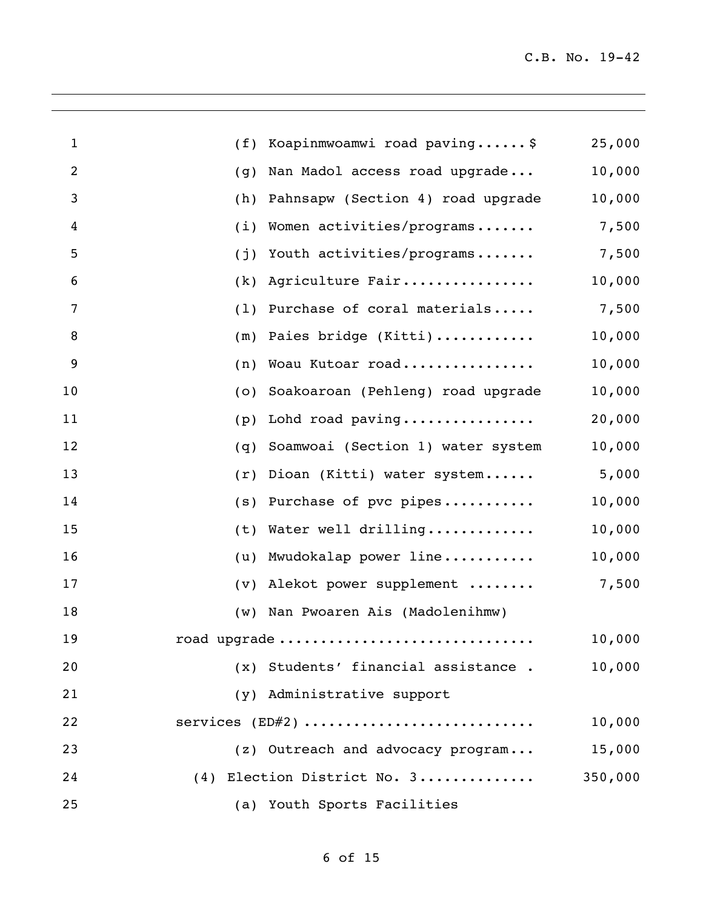| 1  |     | (f) Koapinmwoamwi road paving\$     | 25,000  |
|----|-----|-------------------------------------|---------|
| 2  | (g) | Nan Madol access road upgrade       | 10,000  |
| 3  | (h) | Pahnsapw (Section 4) road upgrade   | 10,000  |
| 4  | (i) | Women activities/programs           | 7,500   |
| 5  | (j) | Youth activities/programs           | 7,500   |
| 6  | (k) | Agriculture Fair                    | 10,000  |
| 7  |     | (1) Purchase of coral materials     | 7,500   |
| 8  |     | (m) Paies bridge (Kitti)            | 10,000  |
| 9  | (n) | Woau Kutoar road                    | 10,000  |
| 10 | (0) | Soakoaroan (Pehleng) road upgrade   | 10,000  |
| 11 | (p) | Lohd road paving                    | 20,000  |
| 12 | (q) | Soamwoai (Section 1) water system   | 10,000  |
| 13 | (r) | Dioan (Kitti) water system          | 5,000   |
| 14 |     | $(s)$ Purchase of pvc pipes         | 10,000  |
| 15 |     | (t) Water well drilling             | 10,000  |
| 16 | (u) | Mwudokalap power line               | 10,000  |
| 17 |     | (v) Alekot power supplement         | 7,500   |
| 18 |     | (w) Nan Pwoaren Ais (Madolenihmw)   |         |
| 19 |     | road upgrade                        | 10,000  |
| 20 |     | (x) Students' financial assistance. | 10,000  |
| 21 |     | (y) Administrative support          |         |
| 22 |     | services $(ED#2)$                   | 10,000  |
| 23 |     | (z) Outreach and advocacy program   | 15,000  |
| 24 |     | (4) Election District No. 3         | 350,000 |
| 25 |     | (a) Youth Sports Facilities         |         |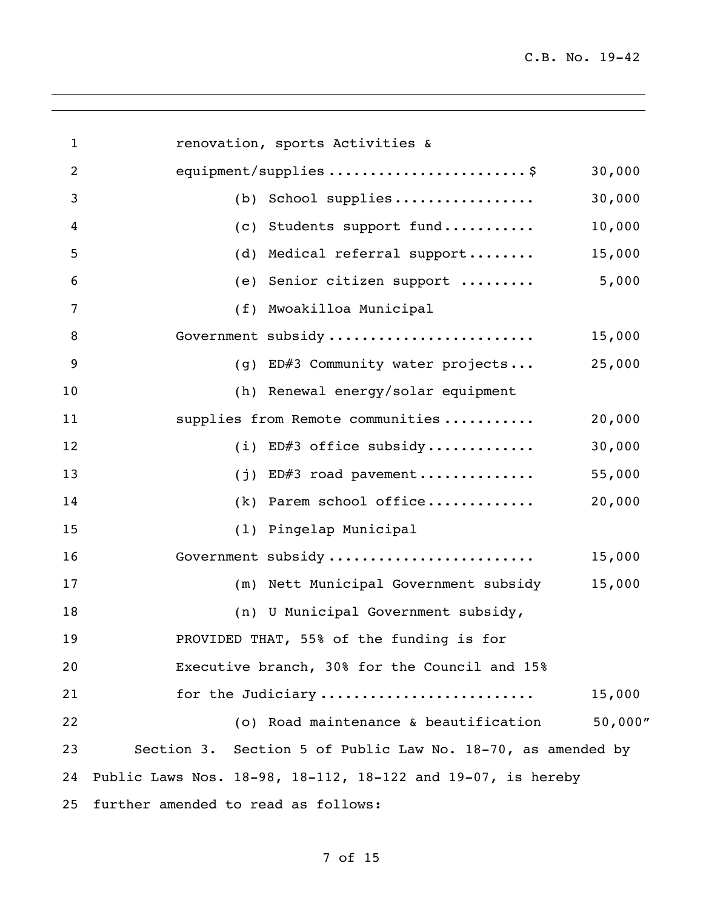| $\mathbf{1}$   | renovation, sports Activities &                             |          |
|----------------|-------------------------------------------------------------|----------|
| $\overline{2}$ | equipment/supplies \$                                       | 30,000   |
| 3              | (b) School supplies                                         | 30,000   |
| 4              | (c) Students support fund                                   | 10,000   |
| 5              | (d) Medical referral support                                | 15,000   |
| 6              | (e) Senior citizen support                                  | 5,000    |
| $\overline{7}$ | (f) Mwoakilloa Municipal                                    |          |
| 8              | Government subsidy                                          | 15,000   |
| $\overline{9}$ | (g) ED#3 Community water projects                           | 25,000   |
| 10             | (h) Renewal energy/solar equipment                          |          |
| 11             | supplies from Remote communities                            | 20,000   |
| 12             | (i) ED#3 office subsidy                                     | 30,000   |
| 13             | (j) ED#3 road pavement                                      | 55,000   |
| 14             | (k) Parem school office                                     | 20,000   |
| 15             | (1) Pingelap Municipal                                      |          |
| 16             | Government subsidy                                          | 15,000   |
| 17             | (m) Nett Municipal Government subsidy                       | 15,000   |
| 18             | (n) U Municipal Government subsidy,                         |          |
| 19             | PROVIDED THAT, 55% of the funding is for                    |          |
| 20             | Executive branch, 30% for the Council and 15%               |          |
| 21             | for the Judiciary                                           | 15,000   |
| 22             | (o) Road maintenance & beautification                       | 50,000'' |
| 23             | Section 3. Section 5 of Public Law No. 18-70, as amended by |          |
| 24             | Public Laws Nos. 18-98, 18-112, 18-122 and 19-07, is hereby |          |
| 25             | further amended to read as follows:                         |          |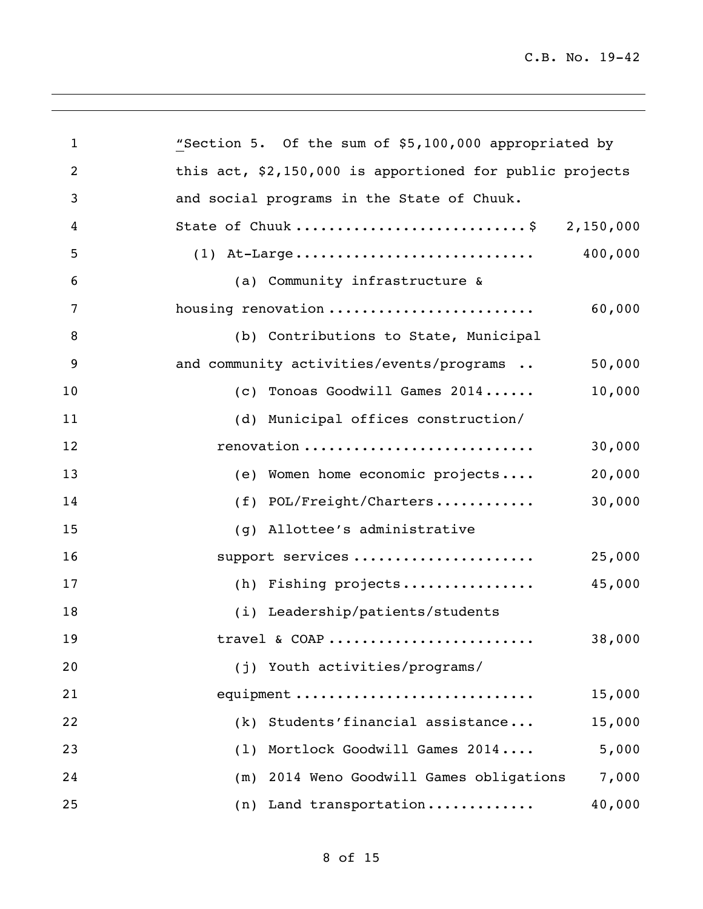| $\mathbf{1}$   | "Section 5. Of the sum of \$5,100,000 appropriated by    |
|----------------|----------------------------------------------------------|
| $\overline{2}$ | this act, \$2,150,000 is apportioned for public projects |
| 3              | and social programs in the State of Chuuk.               |
| 4              | State of Chuuk \$ 2,150,000                              |
| 5              | 400,000<br>$(1)$ At-Large                                |
| 6              | (a) Community infrastructure &                           |
| $\overline{7}$ | housing renovation<br>60,000                             |
| 8              | (b) Contributions to State, Municipal                    |
| 9              | and community activities/events/programs<br>50,000       |
| 10             | 10,000<br>(c) Tonoas Goodwill Games 2014                 |
| 11             | (d) Municipal offices construction/                      |
| 12             | renovation<br>30,000                                     |
| 13             | (e) Women home economic projects<br>20,000               |
| 14             | 30,000<br>$(f)$ POL/Freight/Charters                     |
| 15             | (g) Allottee's administrative                            |
| 16             | support services<br>25,000                               |
| 17             | (h) Fishing projects<br>45,000                           |
| 18             | (i) Leadership/patients/students                         |
| 19             | 38,000<br>travel & COAP                                  |
| 20             | (j) Youth activities/programs/                           |
| 21             | equipment<br>15,000                                      |
| 22             | Students'financial assistance<br>15,000<br>(k)           |
| 23             | Mortlock Goodwill Games 2014<br>5,000<br>(1)             |
| 24             | 7,000<br>2014 Weno Goodwill Games obligations<br>(m)     |
| 25             | 40,000<br>(n) Land transportation                        |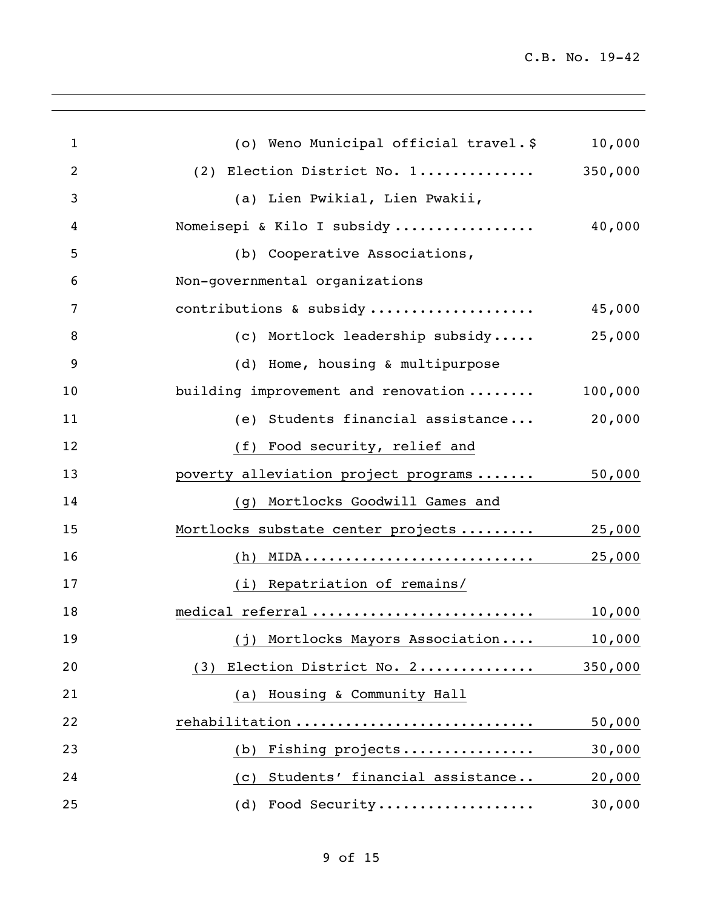| $\mathbf{1}$ | (o) Weno Municipal official travel.\$ | 10,000  |
|--------------|---------------------------------------|---------|
| 2            | (2) Election District No. 1           | 350,000 |
| 3            | (a) Lien Pwikial, Lien Pwakii,        |         |
| 4            | Nomeisepi & Kilo I subsidy            | 40,000  |
| 5            | (b) Cooperative Associations,         |         |
| 6            | Non-governmental organizations        |         |
| 7            | contributions & subsidy               | 45,000  |
| 8            | (c) Mortlock leadership subsidy       | 25,000  |
| 9            | (d) Home, housing & multipurpose      |         |
| 10           | building improvement and renovation   | 100,000 |
| 11           | (e) Students financial assistance     | 20,000  |
| 12           | (f) Food security, relief and         |         |
| 13           | poverty alleviation project programs  | 50,000  |
| 14           | (g) Mortlocks Goodwill Games and      |         |
| 15           | Mortlocks substate center projects    | 25,000  |
| 16           |                                       | 25,000  |
| 17           | (i) Repatriation of remains/          |         |
| 18           | medical referral                      | 10,000  |
| 19           | (j) Mortlocks Mayors Association      | 10,000  |
| 20           | Election District No. 2<br>(3)        | 350,000 |
| 21           | (a) Housing & Community Hall          |         |
| 22           | rehabilitation                        | 50,000  |
| 23           | Fishing projects<br>(b)               | 30,000  |
| 24           | Students' financial assistance<br>(C) | 20,000  |
| 25           | (d) Food Security                     | 30,000  |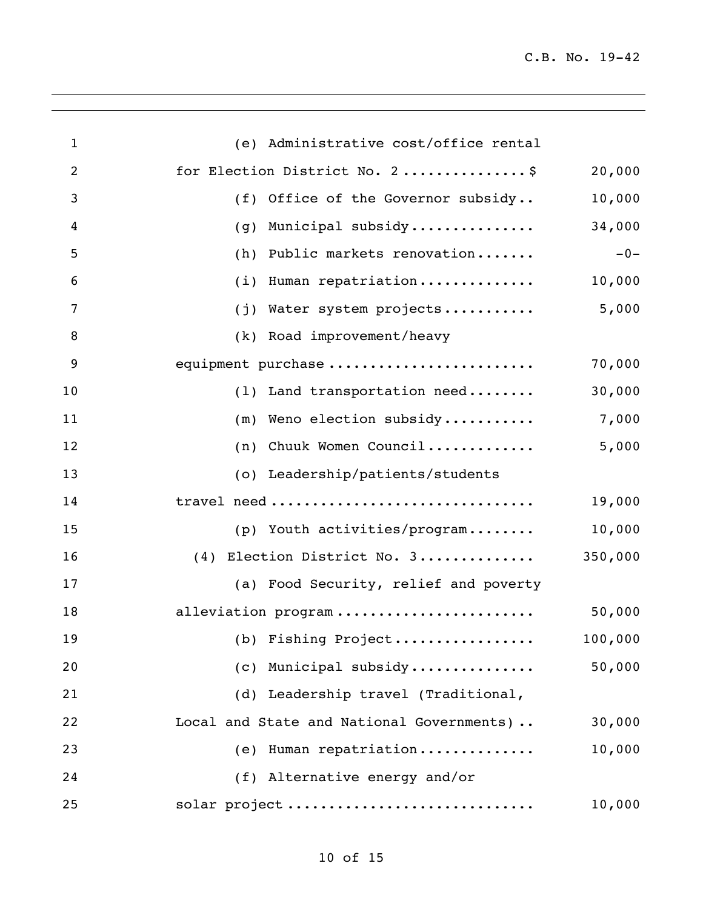| $\mathbf{1}$   | (e) Administrative cost/office rental     |         |
|----------------|-------------------------------------------|---------|
| $\overline{2}$ | for Election District No. 2\$             | 20,000  |
| 3              | (f) Office of the Governor subsidy        | 10,000  |
| 4              | Municipal subsidy<br>(q)                  | 34,000  |
| 5              | Public markets renovation<br>(h)          | $-0-$   |
| 6              | (i) Human repatriation                    | 10,000  |
| $\overline{7}$ | (j) Water system projects                 | 5,000   |
| 8              | (k) Road improvement/heavy                |         |
| 9              | equipment purchase                        | 70,000  |
| 10             | (1) Land transportation need              | 30,000  |
| 11             | (m) Weno election subsidy                 | 7,000   |
| 12             | Chuuk Women Council<br>(n)                | 5,000   |
| 13             | (o) Leadership/patients/students          |         |
| 14             | travel need                               | 19,000  |
| 15             | (p) Youth activities/program              | 10,000  |
| 16             | (4) Election District No. 3               | 350,000 |
| 17             | (a) Food Security, relief and poverty     |         |
| 18             | alleviation program                       | 50,000  |
| 19             | (b) Fishing Project                       | 100,000 |
| 20             | (c) Municipal subsidy                     | 50,000  |
| 21             | (d) Leadership travel (Traditional,       |         |
| 22             | Local and State and National Governments) | 30,000  |
| 23             | (e) Human repatriation                    | 10,000  |
| 24             | (f) Alternative energy and/or             |         |
| 25             | solar project                             | 10,000  |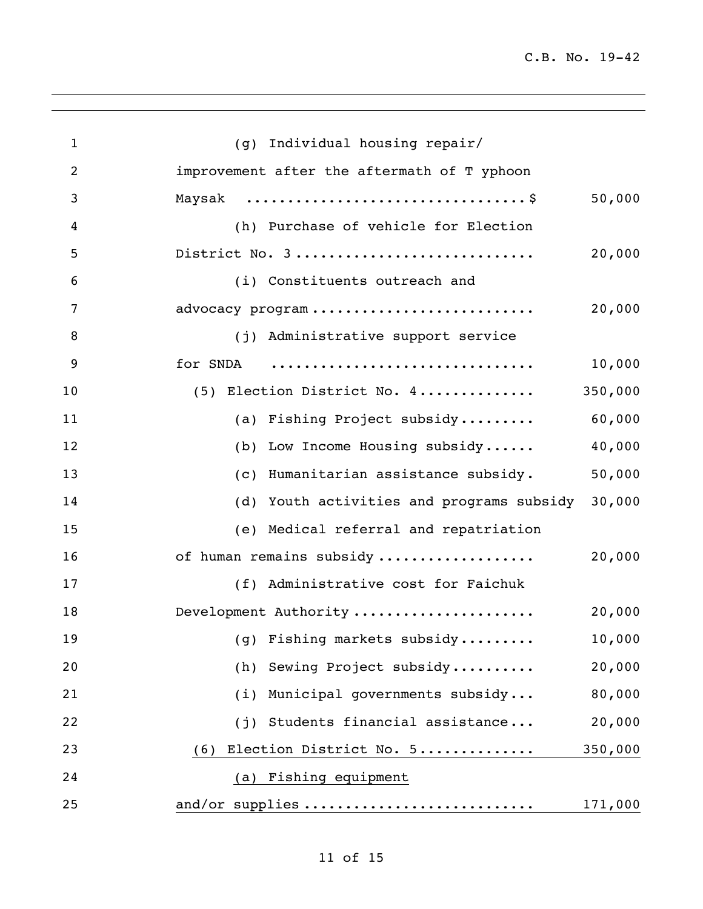| $\mathbf{1}$   | (g) Individual housing repair/              |         |
|----------------|---------------------------------------------|---------|
| $\overline{2}$ | improvement after the aftermath of T yphoon |         |
| 3              | Maysak                                      | 50,000  |
| 4              | (h) Purchase of vehicle for Election        |         |
| 5              | District No. 3                              | 20,000  |
| 6              | (i) Constituents outreach and               |         |
| 7              | advocacy program                            | 20,000  |
| 8              | (j) Administrative support service          |         |
| 9              | for SNDA                                    | 10,000  |
| 10             | (5) Election District No. 4                 | 350,000 |
| 11             | (a) Fishing Project subsidy                 | 60,000  |
| 12             | (b) Low Income Housing subsidy              | 40,000  |
| 13             | (c) Humanitarian assistance subsidy.        | 50,000  |
| 14             | (d) Youth activities and programs subsidy   | 30,000  |
| 15             | (e) Medical referral and repatriation       |         |
| 16             | of human remains subsidy                    | 20,000  |
| 17             | (f) Administrative cost for Faichuk         |         |
| 18             | Development Authority                       | 20,000  |
| 19             | (g) Fishing markets subsidy                 | 10,000  |
| 20             | (h) Sewing Project subsidy                  | 20,000  |
| 21             | (i) Municipal governments subsidy           | 80,000  |
| 22             | (j) Students financial assistance           | 20,000  |
| 23             | Election District No. 5<br>(6)              | 350,000 |
| 24             | (a) Fishing equipment                       |         |
| 25             | and/or supplies                             | 171,000 |
|                |                                             |         |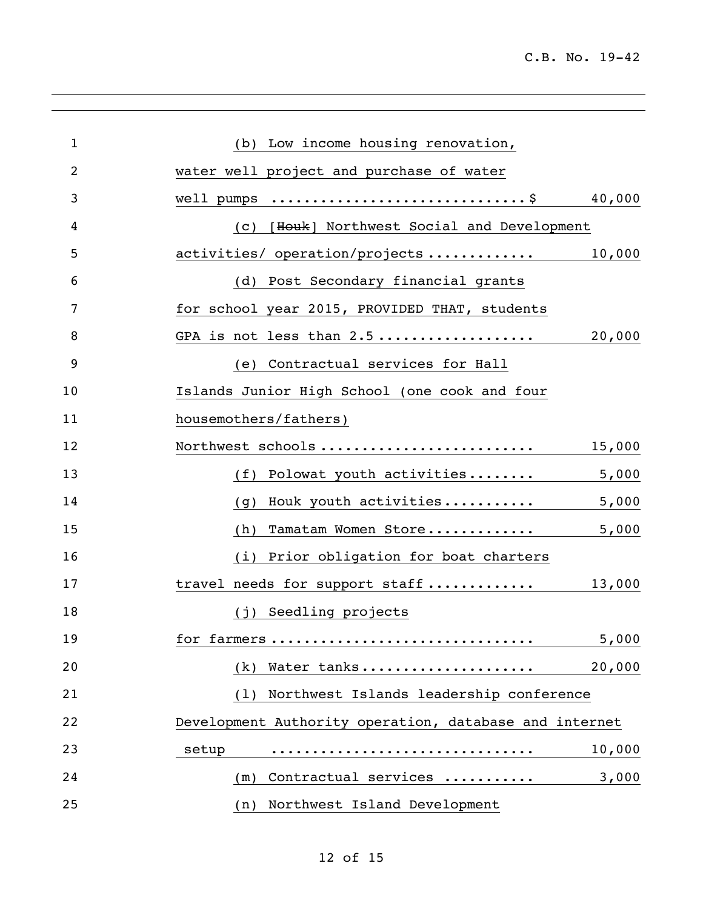| $\mathbf{1}$ | (b) Low income housing renovation,                     |        |
|--------------|--------------------------------------------------------|--------|
| 2            | water well project and purchase of water               |        |
| 3            | well pumps \$                                          | 40,000 |
| 4            | [Houk] Northwest Social and Development<br>(C)         |        |
| 5            | activities/ operation/projects                         | 10,000 |
| 6            | (d) Post Secondary financial grants                    |        |
| 7            | for school year 2015, PROVIDED THAT, students          |        |
| 8            | GPA is not less than 2.5                               | 20,000 |
| 9            | (e) Contractual services for Hall                      |        |
| 10           | Islands Junior High School (one cook and four          |        |
| 11           | housemothers/fathers)                                  |        |
| 12           | Northwest schools                                      | 15,000 |
| 13           | Polowat youth activities<br>(f)                        | 5,000  |
| 14           | Houk youth activities<br>(q)                           | 5,000  |
| 15           | Tamatam Women Store<br>(h)                             | 5,000  |
| 16           | (i) Prior obligation for boat charters                 |        |
| 17           | travel needs for support staff                         | 13,000 |
| 18           | (j) Seedling projects                                  |        |
| 19           | for farmers                                            | 5,000  |
| 20           | Water tanks<br>(k)                                     | 20,000 |
| 21           | Northwest Islands leadership conference<br>(1)         |        |
| 22           | Development Authority operation, database and internet |        |
| 23           | setup                                                  | 10,000 |
| 24           | Contractual services<br>(m)                            | 3,000  |
| 25           | Northwest Island Development<br>(n)                    |        |
|              |                                                        |        |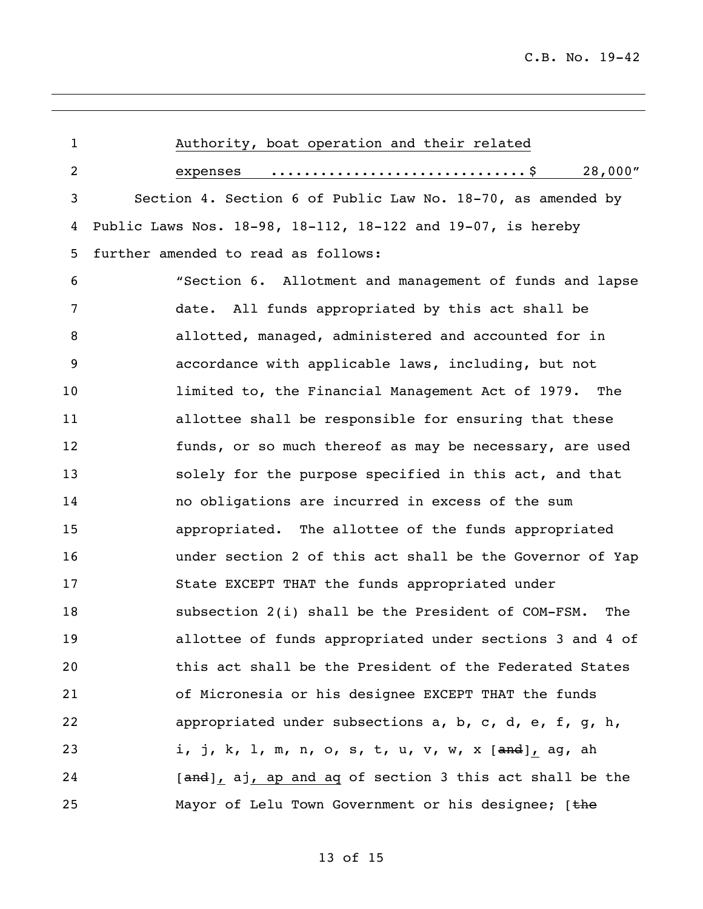| 1  | Authority, boat operation and their related                 |
|----|-------------------------------------------------------------|
| 2  | 28,000"<br>expenses                                         |
| 3  | Section 4. Section 6 of Public Law No. 18-70, as amended by |
| 4  | Public Laws Nos. 18-98, 18-112, 18-122 and 19-07, is hereby |
| 5  | further amended to read as follows:                         |
| 6  | "Section 6. Allotment and management of funds and lapse     |
| 7  | date. All funds appropriated by this act shall be           |
| 8  | allotted, managed, administered and accounted for in        |
| 9  | accordance with applicable laws, including, but not         |
| 10 | limited to, the Financial Management Act of 1979. The       |
| 11 | allottee shall be responsible for ensuring that these       |
| 12 | funds, or so much thereof as may be necessary, are used     |
| 13 | solely for the purpose specified in this act, and that      |
| 14 | no obligations are incurred in excess of the sum            |
| 15 | appropriated. The allottee of the funds appropriated        |
| 16 | under section 2 of this act shall be the Governor of Yap    |
| 17 | State EXCEPT THAT the funds appropriated under              |
| 18 | subsection 2(i) shall be the President of COM-FSM.<br>The   |
| 19 | allottee of funds appropriated under sections 3 and 4 of    |
| 20 | this act shall be the President of the Federated States     |
| 21 | of Micronesia or his designee EXCEPT THAT the funds         |
| 22 | appropriated under subsections a, b, c, d, e, f, g, h,      |
| 23 | i, j, k, l, m, n, o, s, t, u, v, w, x [and], ag, ah         |
| 24 | [and], aj, ap and aq of section 3 this act shall be the     |
| 25 | Mayor of Lelu Town Government or his designee; [the         |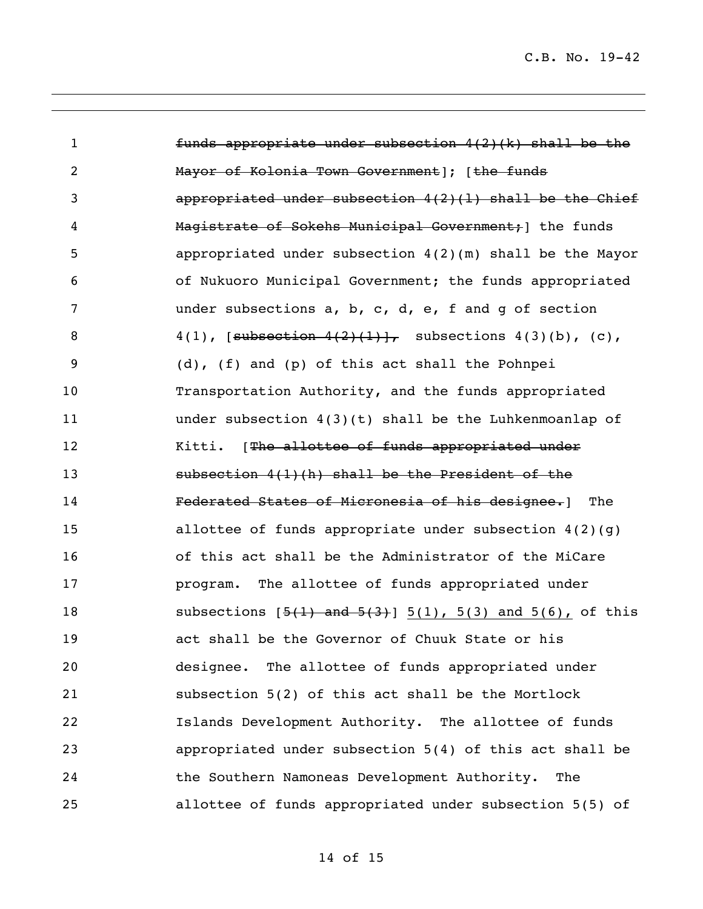| $\mathbf{1}$   | funds appropriate under subsection $4(2)$ (k) shall be the            |
|----------------|-----------------------------------------------------------------------|
| $\overline{c}$ | Mayor of Kolonia Town Government]; [the funds                         |
| 3              | appropriated under subsection $4(2)(1)$ shall be the Chief            |
| 4              | Magistrate of Sokehs Municipal Government; 1 the funds                |
| 5              | appropriated under subsection $4(2)(m)$ shall be the Mayor            |
| 6              | of Nukuoro Municipal Government; the funds appropriated               |
| 7              | under subsections $a, b, c, d, e, f$ and g of section                 |
| 8              | 4(1), [subsection $4(2)$ (1)], subsections 4(3)(b), (c),              |
| 9              | (d), (f) and (p) of this act shall the Pohnpei                        |
| 10             | Transportation Authority, and the funds appropriated                  |
| 11             | under subsection $4(3)(t)$ shall be the Luhkenmoanlap of              |
| 12             | Kitti. [The allottee of funds appropriated under                      |
| 13             | subsection 4(1)(h) shall be the President of the                      |
| 14             | Federated States of Micronesia of his designee.<br>The                |
| 15             | allottee of funds appropriate under subsection $4(2)(g)$              |
| 16             | of this act shall be the Administrator of the MiCare                  |
| 17             | program. The allottee of funds appropriated under                     |
| 18             | subsections $[5(1)$ and $5(3)$ ] $5(1)$ , $5(3)$ and $5(6)$ , of this |
| 19             | act shall be the Governor of Chuuk State or his                       |
| 20             | designee. The allottee of funds appropriated under                    |
| 21             | subsection 5(2) of this act shall be the Mortlock                     |
| 22             | Islands Development Authority. The allottee of funds                  |
| 23             | appropriated under subsection 5(4) of this act shall be               |
| 24             | the Southern Namoneas Development Authority.<br>The                   |
| 25             | allottee of funds appropriated under subsection 5(5) of               |

of 15